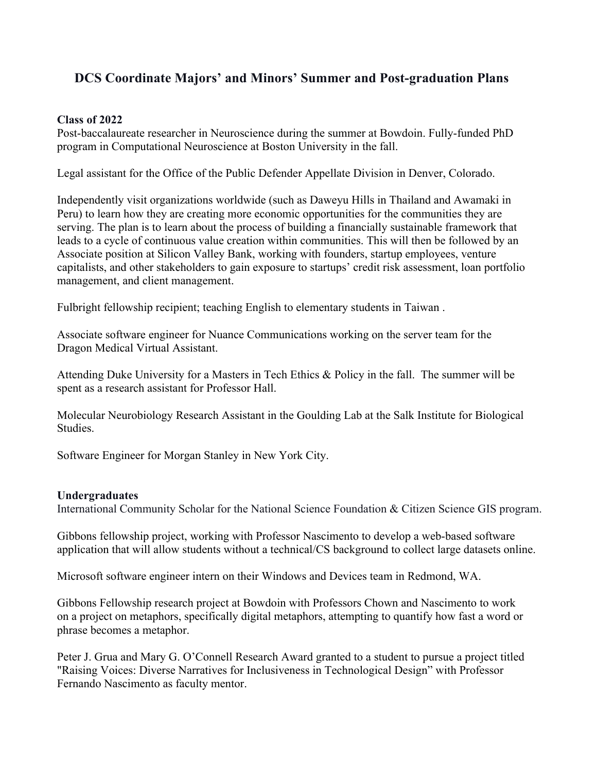## **DCS Coordinate Majors' and Minors' Summer and Post-graduation Plans**

## **Class of 2022**

Post-baccalaureate researcher in Neuroscience during the summer at Bowdoin. Fully-funded PhD program in Computational Neuroscience at Boston University in the fall.

Legal assistant for the Office of the Public Defender Appellate Division in Denver, Colorado.

Independently visit organizations worldwide (such as Daweyu Hills in Thailand and Awamaki in Peru) to learn how they are creating more economic opportunities for the communities they are serving. The plan is to learn about the process of building a financially sustainable framework that leads to a cycle of continuous value creation within communities. This will then be followed by an Associate position at Silicon Valley Bank, working with founders, startup employees, venture capitalists, and other stakeholders to gain exposure to startups' credit risk assessment, loan portfolio management, and client management.

Fulbright fellowship recipient; teaching English to elementary students in Taiwan .

Associate software engineer for Nuance Communications working on the server team for the Dragon Medical Virtual Assistant.

Attending Duke University for a Masters in Tech Ethics & Policy in the fall. The summer will be spent as a research assistant for Professor Hall.

Molecular Neurobiology Research Assistant in the Goulding Lab at the Salk Institute for Biological Studies.

Software Engineer for Morgan Stanley in New York City.

## **Undergraduates**

International Community Scholar for the National Science Foundation & Citizen Science GIS program.

Gibbons fellowship project, working with Professor Nascimento to develop a web-based software application that will allow students without a technical/CS background to collect large datasets online.

Microsoft software engineer intern on their Windows and Devices team in Redmond, WA.

Gibbons Fellowship research project at Bowdoin with Professors Chown and Nascimento to work on a project on metaphors, specifically digital metaphors, attempting to quantify how fast a word or phrase becomes a metaphor.

Peter J. Grua and Mary G. O'Connell Research Award granted to a student to pursue a project titled "Raising Voices: Diverse Narratives for Inclusiveness in Technological Design" with Professor Fernando Nascimento as faculty mentor.